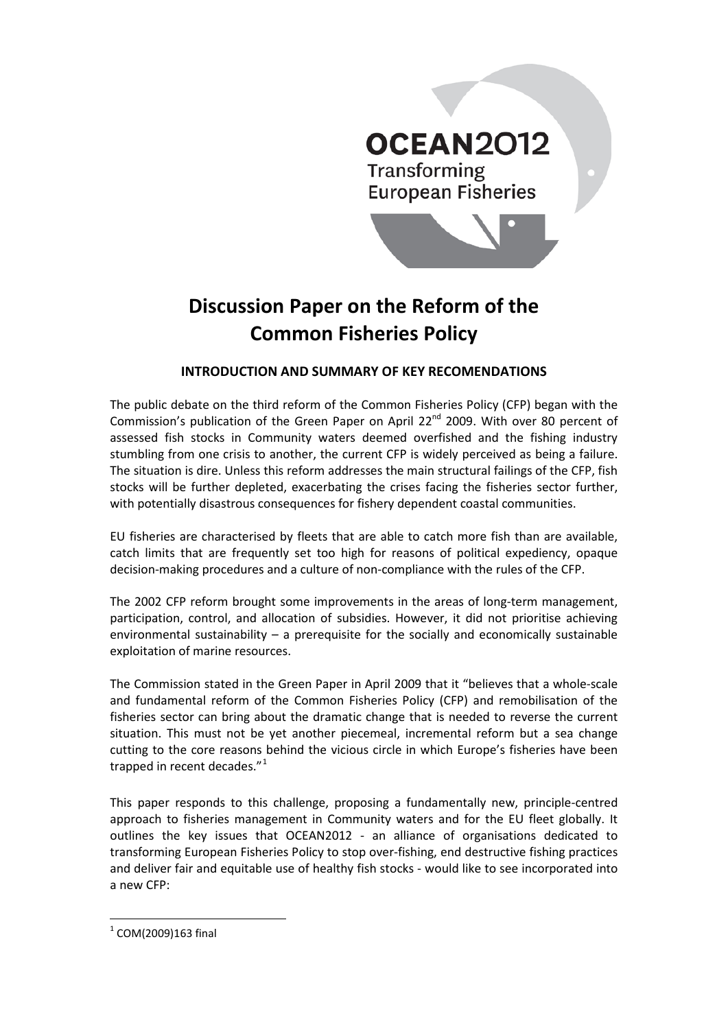

# **Discussion Paper on the Reform of the Common Fisheries Policy**

# **INTRODUCTION AND SUMMARY OF KEY RECOMENDATIONS**

The public debate on the third reform of the Common Fisheries Policy (CFP) began with the Commission's publication of the Green Paper on April  $22^{nd}$  2009. With over 80 percent of assessed fish stocks in Community waters deemed overfished and the fishing industry stumbling from one crisis to another, the current CFP is widely perceived as being a failure. The situation is dire. Unless this reform addresses the main structural failings of the CFP, fish stocks will be further depleted, exacerbating the crises facing the fisheries sector further, with potentially disastrous consequences for fishery dependent coastal communities.

EU fisheries are characterised by fleets that are able to catch more fish than are available, catch limits that are frequently set too high for reasons of political expediency, opaque decision-making procedures and a culture of non-compliance with the rules of the CFP.

The 2002 CFP reform brought some improvements in the areas of long-term management, participation, control, and allocation of subsidies. However, it did not prioritise achieving environmental sustainability – a prerequisite for the socially and economically sustainable exploitation of marine resources.

The Commission stated in the Green Paper in April 2009 that it "believes that a whole-scale and fundamental reform of the Common Fisheries Policy (CFP) and remobilisation of the fisheries sector can bring about the dramatic change that is needed to reverse the current situation. This must not be yet another piecemeal, incremental reform but a sea change cutting to the core reasons behind the vicious circle in which Europe's fisheries have been trapped in recent decades."<sup>[1](#page-0-0)</sup>

This paper responds to this challenge, proposing a fundamentally new, principle-centred approach to fisheries management in Community waters and for the EU fleet globally. It outlines the key issues that OCEAN2012 - an alliance of organisations dedicated to transforming European Fisheries Policy to stop over-fishing, end destructive fishing practices and deliver fair and equitable use of healthy fish stocks - would like to see incorporated into a new CFP:

<span id="page-0-0"></span> $1$  COM(2009)163 final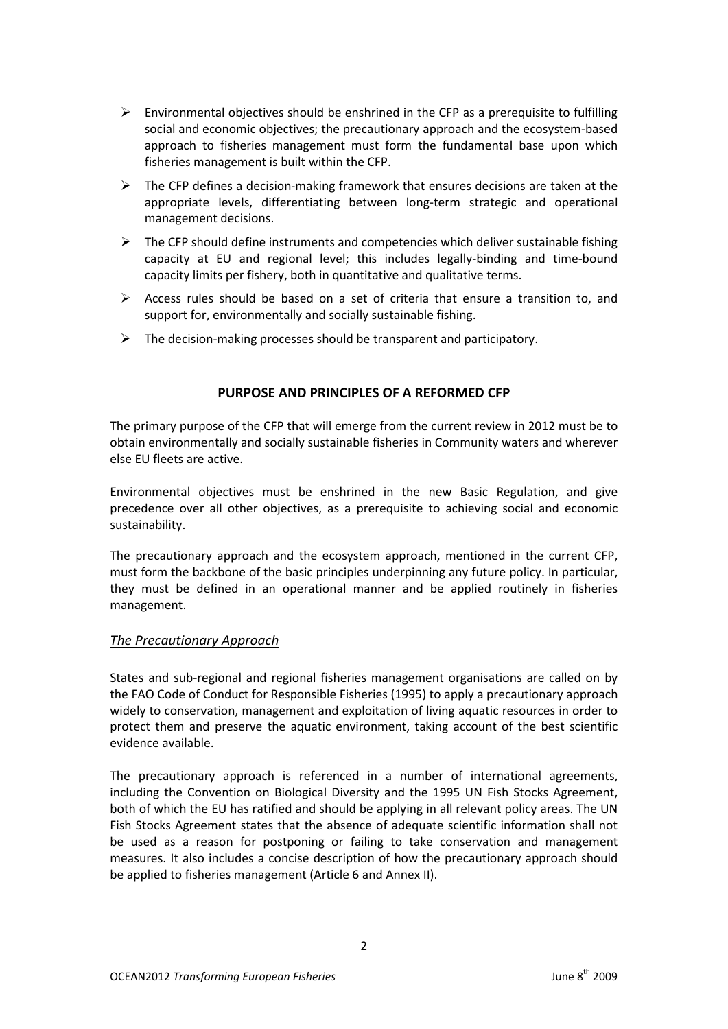- $\triangleright$  Environmental objectives should be enshrined in the CFP as a prerequisite to fulfilling social and economic objectives; the precautionary approach and the ecosystem-based approach to fisheries management must form the fundamental base upon which fisheries management is built within the CFP.
- $\triangleright$  The CFP defines a decision-making framework that ensures decisions are taken at the appropriate levels, differentiating between long-term strategic and operational management decisions.
- $\triangleright$  The CFP should define instruments and competencies which deliver sustainable fishing capacity at EU and regional level; this includes legally-binding and time-bound capacity limits per fishery, both in quantitative and qualitative terms.
- $\triangleright$  Access rules should be based on a set of criteria that ensure a transition to, and support for, environmentally and socially sustainable fishing.
- $\triangleright$  The decision-making processes should be transparent and participatory.

# **PURPOSE AND PRINCIPLES OF A REFORMED CFP**

The primary purpose of the CFP that will emerge from the current review in 2012 must be to obtain environmentally and socially sustainable fisheries in Community waters and wherever else EU fleets are active.

Environmental objectives must be enshrined in the new Basic Regulation, and give precedence over all other objectives, as a prerequisite to achieving social and economic sustainability.

The precautionary approach and the ecosystem approach, mentioned in the current CFP, must form the backbone of the basic principles underpinning any future policy. In particular, they must be defined in an operational manner and be applied routinely in fisheries management.

# *The Precautionary Approach*

States and sub-regional and regional fisheries management organisations are called on by the FAO Code of Conduct for Responsible Fisheries (1995) to apply a precautionary approach widely to conservation, management and exploitation of living aquatic resources in order to protect them and preserve the aquatic environment, taking account of the best scientific evidence available.

The precautionary approach is referenced in a number of international agreements, including the Convention on Biological Diversity and the 1995 UN Fish Stocks Agreement, both of which the EU has ratified and should be applying in all relevant policy areas. The UN Fish Stocks Agreement states that the absence of adequate scientific information shall not be used as a reason for postponing or failing to take conservation and management measures. It also includes a concise description of how the precautionary approach should be applied to fisheries management (Article 6 and Annex II).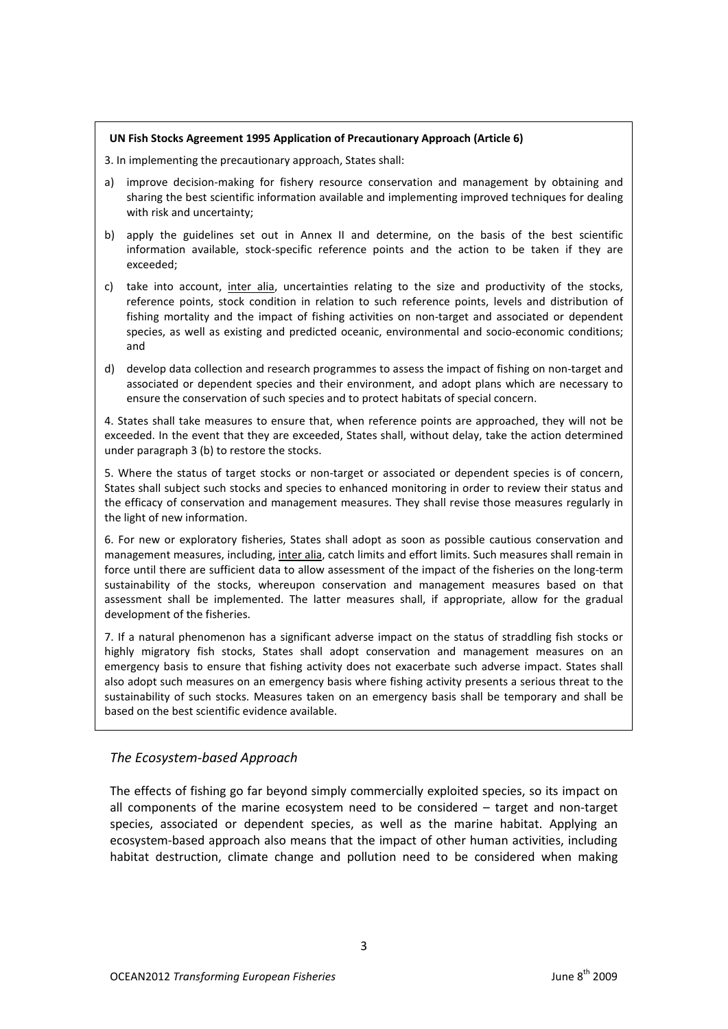#### **UN Fish Stocks Agreement 1995 Application of Precautionary Approach (Article 6)**

3. In implementing the precautionary approach, States shall:

- a) improve decision-making for fishery resource conservation and management by obtaining and sharing the best scientific information available and implementing improved techniques for dealing with risk and uncertainty;
- b) apply the guidelines set out in Annex II and determine, on the basis of the best scientific information available, stock-specific reference points and the action to be taken if they are exceeded;
- c) take into account, inter alia, uncertainties relating to the size and productivity of the stocks, reference points, stock condition in relation to such reference points, levels and distribution of fishing mortality and the impact of fishing activities on non-target and associated or dependent species, as well as existing and predicted oceanic, environmental and socio-economic conditions; and
- d) develop data collection and research programmes to assess the impact of fishing on non-target and associated or dependent species and their environment, and adopt plans which are necessary to ensure the conservation of such species and to protect habitats of special concern.

4. States shall take measures to ensure that, when reference points are approached, they will not be exceeded. In the event that they are exceeded, States shall, without delay, take the action determined under paragraph 3 (b) to restore the stocks.

5. Where the status of target stocks or non-target or associated or dependent species is of concern, States shall subject such stocks and species to enhanced monitoring in order to review their status and the efficacy of conservation and management measures. They shall revise those measures regularly in the light of new information.

6. For new or exploratory fisheries, States shall adopt as soon as possible cautious conservation and management measures, including, inter alia, catch limits and effort limits. Such measures shall remain in force until there are sufficient data to allow assessment of the impact of the fisheries on the long-term sustainability of the stocks, whereupon conservation and management measures based on that assessment shall be implemented. The latter measures shall, if appropriate, allow for the gradual development of the fisheries.

7. If a natural phenomenon has a significant adverse impact on the status of straddling fish stocks or highly migratory fish stocks, States shall adopt conservation and management measures on an emergency basis to ensure that fishing activity does not exacerbate such adverse impact. States shall also adopt such measures on an emergency basis where fishing activity presents a serious threat to the sustainability of such stocks. Measures taken on an emergency basis shall be temporary and shall be based on the best scientific evidence available.

# *The Ecosystem-based Approach*

The effects of fishing go far beyond simply commercially exploited species, so its impact on all components of the marine ecosystem need to be considered – target and non-target species, associated or dependent species, as well as the marine habitat. Applying an ecosystem-based approach also means that the impact of other human activities, including habitat destruction, climate change and pollution need to be considered when making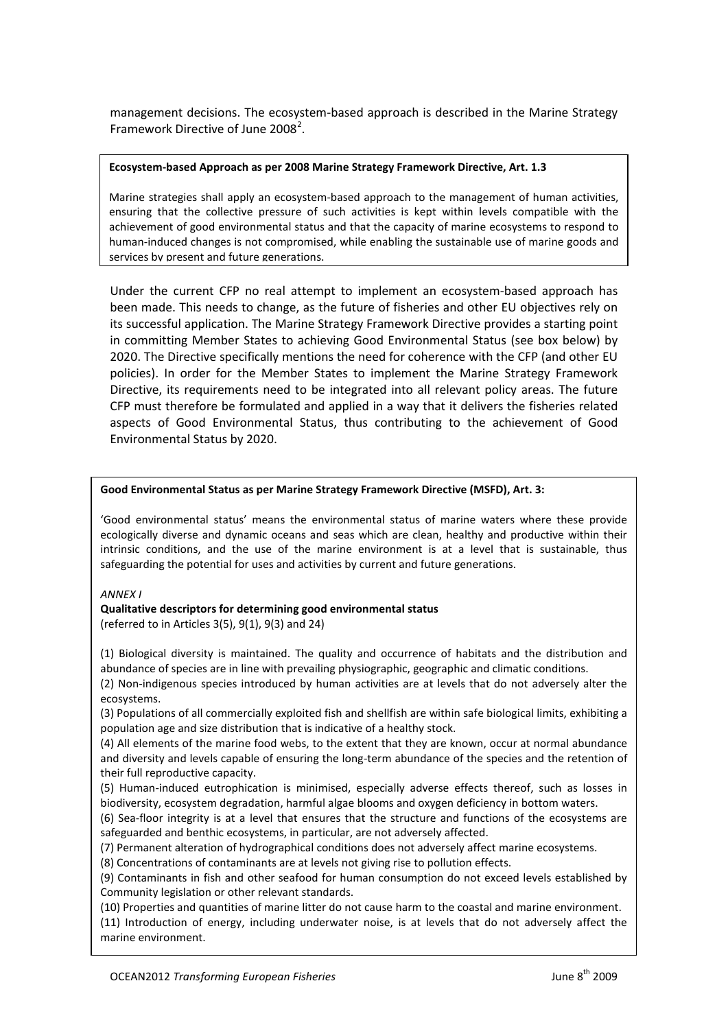management decisions. The ecosystem-based approach is described in the Marine Strategy Framework Directive of June [2](#page-3-0)008<sup>2</sup>.

#### **Ecosystem-based Approach as per 2008 Marine Strategy Framework Directive, Art. 1.3**

Marine strategies shall apply an ecosystem-based approach to the management of human activities, ensuring that the collective pressure of such activities is kept within levels compatible with the achievement of good environmental status and that the capacity of marine ecosystems to respond to human-induced changes is not compromised, while enabling the sustainable use of marine goods and services by present and future generations.

Under the current CFP no real attempt to implement an ecosystem-based approach has been made. This needs to change, as the future of fisheries and other EU objectives rely on its successful application. The Marine Strategy Framework Directive provides a starting point in committing Member States to achieving Good Environmental Status (see box below) by 2020. The Directive specifically mentions the need for coherence with the CFP (and other EU policies). In order for the Member States to implement the Marine Strategy Framework Directive, its requirements need to be integrated into all relevant policy areas. The future CFP must therefore be formulated and applied in a way that it delivers the fisheries related aspects of Good Environmental Status, thus contributing to the achievement of Good Environmental Status by 2020.

#### **Good Environmental Status as per Marine Strategy Framework Directive (MSFD), Art. 3:**

'Good environmental status' means the environmental status of marine waters where these provide ecologically diverse and dynamic oceans and seas which are clean, healthy and productive within their intrinsic conditions, and the use of the marine environment is at a level that is sustainable, thus safeguarding the potential for uses and activities by current and future generations.

*ANNEX I*

#### **Qualitative descriptors for determining good environmental status**

(referred to in Articles 3(5), 9(1), 9(3) and 24)

(1) Biological diversity is maintained. The quality and occurrence of habitats and the distribution and abundance of species are in line with prevailing physiographic, geographic and climatic conditions.

(2) Non-indigenous species introduced by human activities are at levels that do not adversely alter the ecosystems.

(3) Populations of all commercially exploited fish and shellfish are within safe biological limits, exhibiting a population age and size distribution that is indicative of a healthy stock.

(4) All elements of the marine food webs, to the extent that they are known, occur at normal abundance and diversity and levels capable of ensuring the long-term abundance of the species and the retention of their full reproductive capacity.

(5) Human-induced eutrophication is minimised, especially adverse effects thereof, such as losses in biodiversity, ecosystem degradation, harmful algae blooms and oxygen deficiency in bottom waters.

(6) Sea-floor integrity is at a level that ensures that the structure and functions of the ecosystems are safeguarded and benthic ecosystems, in particular, are not adversely affected.

(7) Permanent alteration of hydrographical conditions does not adversely affect marine ecosystems.

(8) Concentrations of contaminants are at levels not giving rise to pollution effects.

(9) Contaminants in fish and other seafood for human consumption do not exceed levels established by Community legislation or other relevant standards.

<span id="page-3-0"></span>commanty registation of other relevant standards.<br>(10) Properties and quantities of marine litter do not cause harm to the coastal and marine environment.<br>(11) Introduction of energy, including underwater, noise, is at lev (11) Introduction of energy, including underwater noise, is at levels that do not adversely affect the marine environment.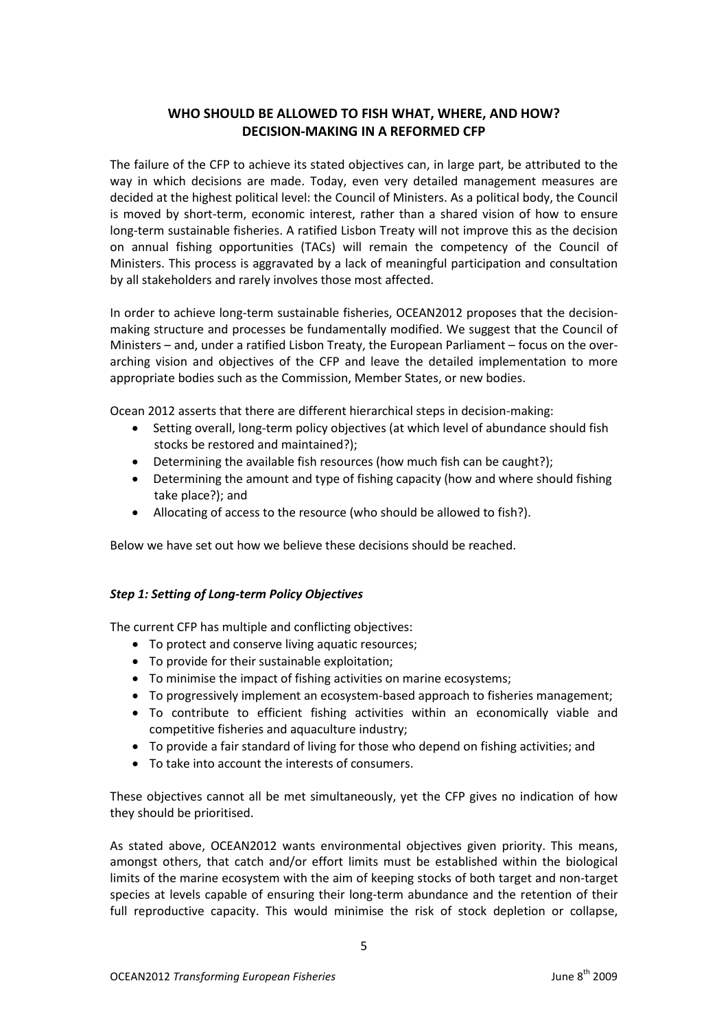# **WHO SHOULD BE ALLOWED TO FISH WHAT, WHERE, AND HOW? DECISION-MAKING IN A REFORMED CFP**

The failure of the CFP to achieve its stated objectives can, in large part, be attributed to the way in which decisions are made. Today, even very detailed management measures are decided at the highest political level: the Council of Ministers. As a political body, the Council is moved by short-term, economic interest, rather than a shared vision of how to ensure long-term sustainable fisheries. A ratified Lisbon Treaty will not improve this as the decision on annual fishing opportunities (TACs) will remain the competency of the Council of Ministers. This process is aggravated by a lack of meaningful participation and consultation by all stakeholders and rarely involves those most affected.

In order to achieve long-term sustainable fisheries, OCEAN2012 proposes that the decisionmaking structure and processes be fundamentally modified. We suggest that the Council of Ministers – and, under a ratified Lisbon Treaty, the European Parliament – focus on the overarching vision and objectives of the CFP and leave the detailed implementation to more appropriate bodies such as the Commission, Member States, or new bodies.

Ocean 2012 asserts that there are different hierarchical steps in decision-making:

- Setting overall, long-term policy objectives (at which level of abundance should fish stocks be restored and maintained?);
- Determining the available fish resources (how much fish can be caught?);
- Determining the amount and type of fishing capacity (how and where should fishing take place?); and
- Allocating of access to the resource (who should be allowed to fish?).

Below we have set out how we believe these decisions should be reached.

# *Step 1: Setting of Long-term Policy Objectives*

The current CFP has multiple and conflicting objectives:

- To protect and conserve living aquatic resources;
- To provide for their sustainable exploitation;
- To minimise the impact of fishing activities on marine ecosystems;
- To progressively implement an ecosystem-based approach to fisheries management;
- To contribute to efficient fishing activities within an economically viable and competitive fisheries and aquaculture industry;
- To provide a fair standard of living for those who depend on fishing activities; and
- To take into account the interests of consumers.

These objectives cannot all be met simultaneously, yet the CFP gives no indication of how they should be prioritised.

As stated above, OCEAN2012 wants environmental objectives given priority. This means, amongst others, that catch and/or effort limits must be established within the biological limits of the marine ecosystem with the aim of keeping stocks of both target and non-target species at levels capable of ensuring their long-term abundance and the retention of their full reproductive capacity. This would minimise the risk of stock depletion or collapse,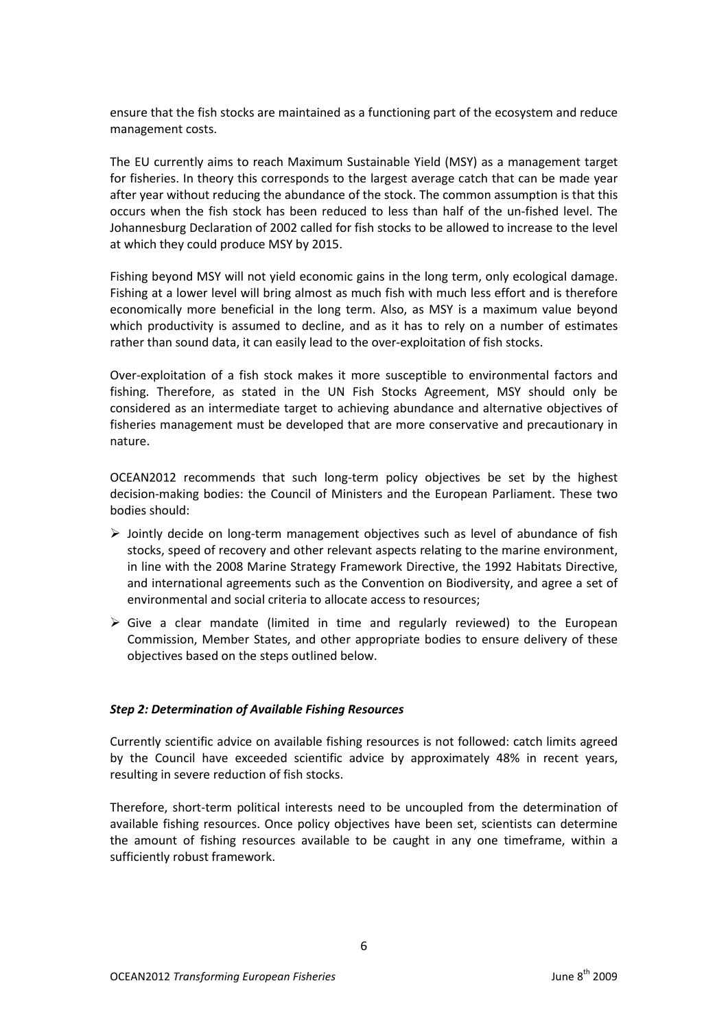ensure that the fish stocks are maintained as a functioning part of the ecosystem and reduce management costs.

The EU currently aims to reach Maximum Sustainable Yield (MSY) as a management target for fisheries. In theory this corresponds to the largest average catch that can be made year after year without reducing the abundance of the stock. The common assumption is that this occurs when the fish stock has been reduced to less than half of the un-fished level. The Johannesburg Declaration of 2002 called for fish stocks to be allowed to increase to the level at which they could produce MSY by 2015.

Fishing beyond MSY will not yield economic gains in the long term, only ecological damage. Fishing at a lower level will bring almost as much fish with much less effort and is therefore economically more beneficial in the long term. Also, as MSY is a maximum value beyond which productivity is assumed to decline, and as it has to rely on a number of estimates rather than sound data, it can easily lead to the over-exploitation of fish stocks.

Over-exploitation of a fish stock makes it more susceptible to environmental factors and fishing. Therefore, as stated in the UN Fish Stocks Agreement, MSY should only be considered as an intermediate target to achieving abundance and alternative objectives of fisheries management must be developed that are more conservative and precautionary in nature.

OCEAN2012 recommends that such long-term policy objectives be set by the highest decision-making bodies: the Council of Ministers and the European Parliament. These two bodies should:

- $\triangleright$  Jointly decide on long-term management objectives such as level of abundance of fish stocks, speed of recovery and other relevant aspects relating to the marine environment, in line with the 2008 Marine Strategy Framework Directive, the 1992 Habitats Directive, and international agreements such as the Convention on Biodiversity, and agree a set of environmental and social criteria to allocate access to resources;
- $\triangleright$  Give a clear mandate (limited in time and regularly reviewed) to the European Commission, Member States, and other appropriate bodies to ensure delivery of these objectives based on the steps outlined below.

# *Step 2: Determination of Available Fishing Resources*

Currently scientific advice on available fishing resources is not followed: catch limits agreed by the Council have exceeded scientific advice by approximately 48% in recent years, resulting in severe reduction of fish stocks.

Therefore, short-term political interests need to be uncoupled from the determination of available fishing resources. Once policy objectives have been set, scientists can determine the amount of fishing resources available to be caught in any one timeframe, within a sufficiently robust framework.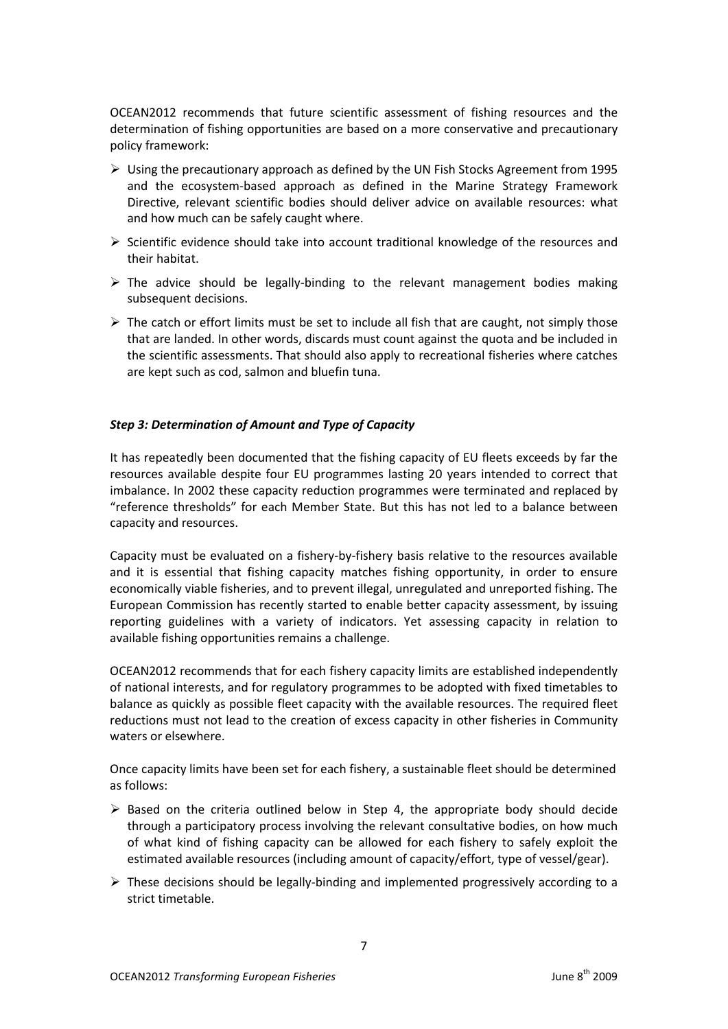OCEAN2012 recommends that future scientific assessment of fishing resources and the determination of fishing opportunities are based on a more conservative and precautionary policy framework:

- $\triangleright$  Using the precautionary approach as defined by the UN Fish Stocks Agreement from 1995 and the ecosystem-based approach as defined in the Marine Strategy Framework Directive, relevant scientific bodies should deliver advice on available resources: what and how much can be safely caught where.
- $\triangleright$  Scientific evidence should take into account traditional knowledge of the resources and their habitat.
- $\triangleright$  The advice should be legally-binding to the relevant management bodies making subsequent decisions.
- $\triangleright$  The catch or effort limits must be set to include all fish that are caught, not simply those that are landed. In other words, discards must count against the quota and be included in the scientific assessments. That should also apply to recreational fisheries where catches are kept such as cod, salmon and bluefin tuna.

# *Step 3: Determination of Amount and Type of Capacity*

It has repeatedly been documented that the fishing capacity of EU fleets exceeds by far the resources available despite four EU programmes lasting 20 years intended to correct that imbalance. In 2002 these capacity reduction programmes were terminated and replaced by "reference thresholds" for each Member State. But this has not led to a balance between capacity and resources.

Capacity must be evaluated on a fishery-by-fishery basis relative to the resources available and it is essential that fishing capacity matches fishing opportunity, in order to ensure economically viable fisheries, and to prevent illegal, unregulated and unreported fishing. The European Commission has recently started to enable better capacity assessment, by issuing reporting guidelines with a variety of indicators. Yet assessing capacity in relation to available fishing opportunities remains a challenge.

OCEAN2012 recommends that for each fishery capacity limits are established independently of national interests, and for regulatory programmes to be adopted with fixed timetables to balance as quickly as possible fleet capacity with the available resources. The required fleet reductions must not lead to the creation of excess capacity in other fisheries in Community waters or elsewhere.

Once capacity limits have been set for each fishery, a sustainable fleet should be determined as follows:

- $\triangleright$  Based on the criteria outlined below in Step 4, the appropriate body should decide through a participatory process involving the relevant consultative bodies, on how much of what kind of fishing capacity can be allowed for each fishery to safely exploit the estimated available resources (including amount of capacity/effort, type of vessel/gear).
- $\triangleright$  These decisions should be legally-binding and implemented progressively according to a strict timetable.

7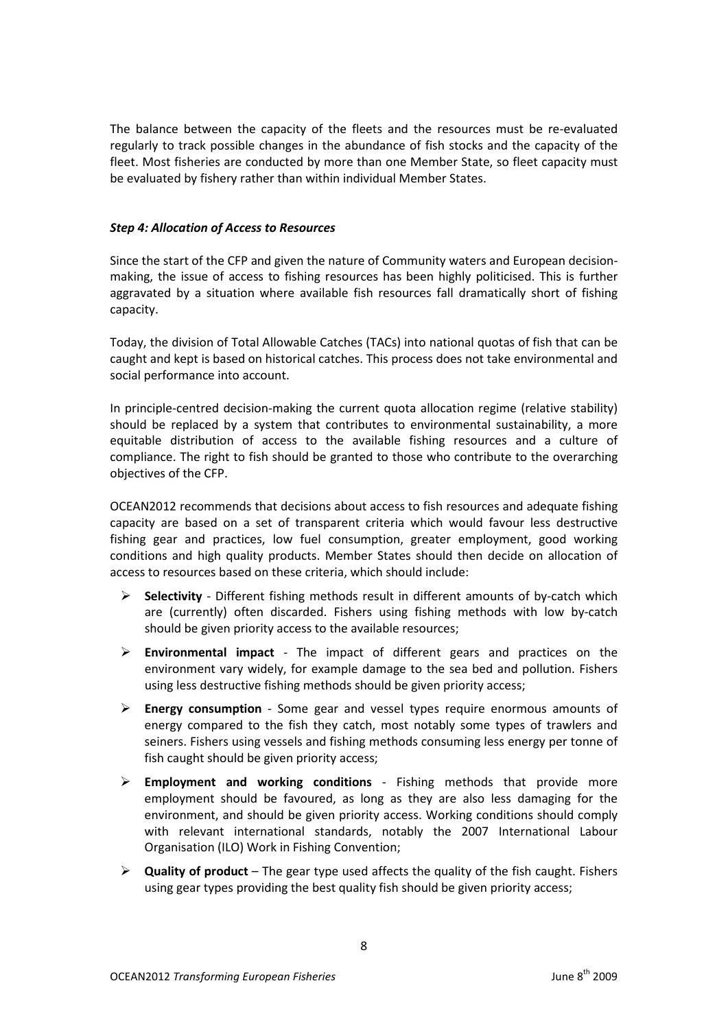The balance between the capacity of the fleets and the resources must be re-evaluated regularly to track possible changes in the abundance of fish stocks and the capacity of the fleet. Most fisheries are conducted by more than one Member State, so fleet capacity must be evaluated by fishery rather than within individual Member States.

# *Step 4: Allocation of Access to Resources*

Since the start of the CFP and given the nature of Community waters and European decisionmaking, the issue of access to fishing resources has been highly politicised. This is further aggravated by a situation where available fish resources fall dramatically short of fishing capacity.

Today, the division of Total Allowable Catches (TACs) into national quotas of fish that can be caught and kept is based on historical catches. This process does not take environmental and social performance into account.

In principle-centred decision-making the current quota allocation regime (relative stability) should be replaced by a system that contributes to environmental sustainability, a more equitable distribution of access to the available fishing resources and a culture of compliance. The right to fish should be granted to those who contribute to the overarching objectives of the CFP.

OCEAN2012 recommends that decisions about access to fish resources and adequate fishing capacity are based on a set of transparent criteria which would favour less destructive fishing gear and practices, low fuel consumption, greater employment, good working conditions and high quality products. Member States should then decide on allocation of access to resources based on these criteria, which should include:

- **Selectivity** Different fishing methods result in different amounts of by-catch which are (currently) often discarded. Fishers using fishing methods with low by-catch should be given priority access to the available resources;
- **Environmental impact** The impact of different gears and practices on the environment vary widely, for example damage to the sea bed and pollution. Fishers using less destructive fishing methods should be given priority access;
- **Energy consumption** Some gear and vessel types require enormous amounts of energy compared to the fish they catch, most notably some types of trawlers and seiners. Fishers using vessels and fishing methods consuming less energy per tonne of fish caught should be given priority access;
- **Employment and working conditions** Fishing methods that provide more employment should be favoured, as long as they are also less damaging for the environment, and should be given priority access. Working conditions should comply with relevant international standards, notably the 2007 International Labour Organisation (ILO) Work in Fishing Convention;
- **Quality of product** The gear type used affects the quality of the fish caught. Fishers using gear types providing the best quality fish should be given priority access;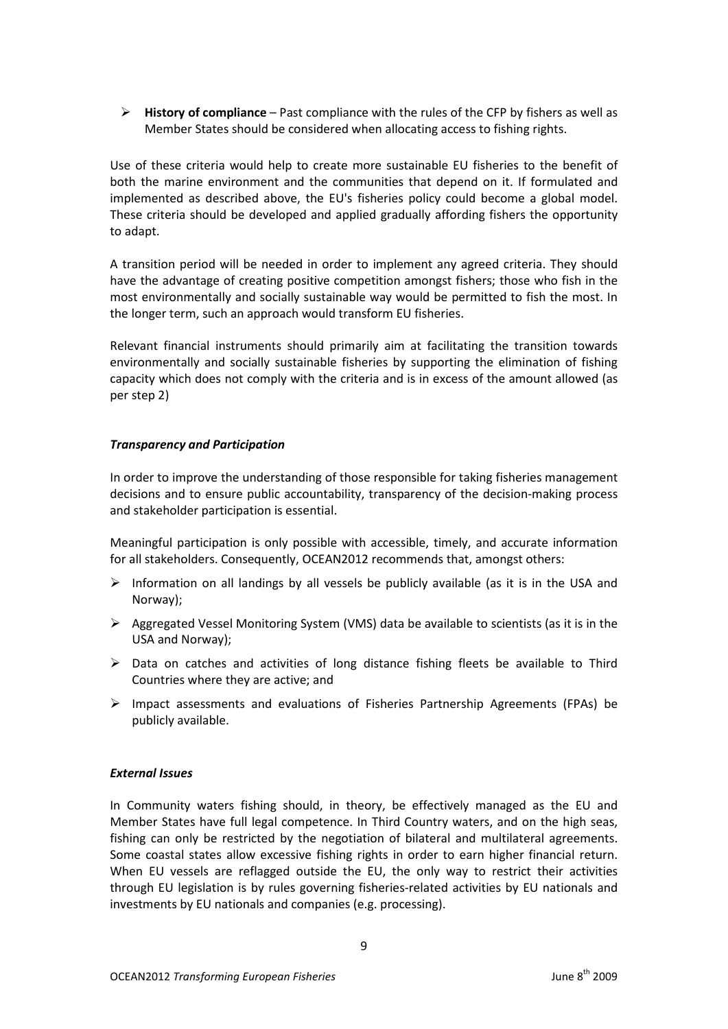**History of compliance** – Past compliance with the rules of the CFP by fishers as well as Member States should be considered when allocating access to fishing rights.

Use of these criteria would help to create more sustainable EU fisheries to the benefit of both the marine environment and the communities that depend on it. If formulated and implemented as described above, the EU's fisheries policy could become a global model. These criteria should be developed and applied gradually affording fishers the opportunity to adapt.

A transition period will be needed in order to implement any agreed criteria. They should have the advantage of creating positive competition amongst fishers; those who fish in the most environmentally and socially sustainable way would be permitted to fish the most. In the longer term, such an approach would transform EU fisheries.

Relevant financial instruments should primarily aim at facilitating the transition towards environmentally and socially sustainable fisheries by supporting the elimination of fishing capacity which does not comply with the criteria and is in excess of the amount allowed (as per step 2)

# *Transparency and Participation*

In order to improve the understanding of those responsible for taking fisheries management decisions and to ensure public accountability, transparency of the decision-making process and stakeholder participation is essential.

Meaningful participation is only possible with accessible, timely, and accurate information for all stakeholders. Consequently, OCEAN2012 recommends that, amongst others:

- $\triangleright$  Information on all landings by all vessels be publicly available (as it is in the USA and Norway);
- $\triangleright$  Aggregated Vessel Monitoring System (VMS) data be available to scientists (as it is in the USA and Norway);
- $\triangleright$  Data on catches and activities of long distance fishing fleets be available to Third Countries where they are active; and
- $\triangleright$  Impact assessments and evaluations of Fisheries Partnership Agreements (FPAs) be publicly available.

# *External Issues*

In Community waters fishing should, in theory, be effectively managed as the EU and Member States have full legal competence. In Third Country waters, and on the high seas, fishing can only be restricted by the negotiation of bilateral and multilateral agreements. Some coastal states allow excessive fishing rights in order to earn higher financial return. When EU vessels are reflagged outside the EU, the only way to restrict their activities through EU legislation is by rules governing fisheries-related activities by EU nationals and investments by EU nationals and companies (e.g. processing).